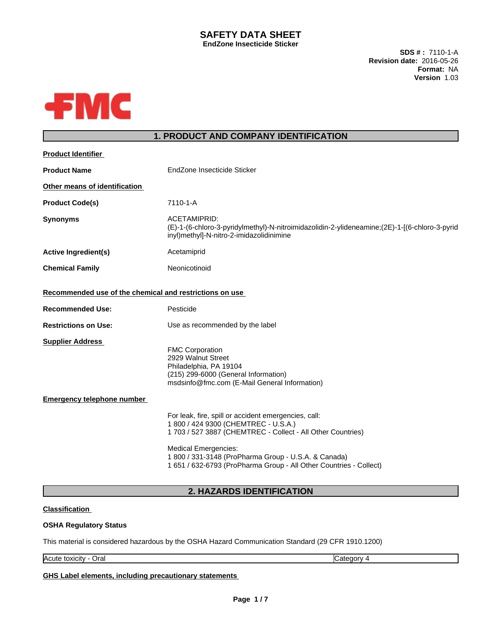#### **SAFETY DATA SHEET EndZone Insecticide Sticker**

**SDS # :** 7110-1-A **Revision date:** 2016-05-26 **Format:** NA **Version** 1.03



# **1. PRODUCT AND COMPANY IDENTIFICATION**

| <b>Product Identifier</b>                               |                                                                                                                                                                                                                                                                                                                          |
|---------------------------------------------------------|--------------------------------------------------------------------------------------------------------------------------------------------------------------------------------------------------------------------------------------------------------------------------------------------------------------------------|
| <b>Product Name</b>                                     | EndZone Insecticide Sticker                                                                                                                                                                                                                                                                                              |
| Other means of identification                           |                                                                                                                                                                                                                                                                                                                          |
| <b>Product Code(s)</b>                                  | 7110-1-A                                                                                                                                                                                                                                                                                                                 |
| <b>Synonyms</b>                                         | ACETAMIPRID:<br>(E)-1-(6-chloro-3-pyridylmethyl)-N-nitroimidazolidin-2-ylideneamine;(2E)-1-[(6-chloro-3-pyrid<br>inyl)methyl]-N-nitro-2-imidazolidinimine                                                                                                                                                                |
| <b>Active Ingredient(s)</b>                             | Acetamiprid                                                                                                                                                                                                                                                                                                              |
| <b>Chemical Family</b>                                  | Neonicotinoid                                                                                                                                                                                                                                                                                                            |
| Recommended use of the chemical and restrictions on use |                                                                                                                                                                                                                                                                                                                          |
| <b>Recommended Use:</b>                                 | Pesticide                                                                                                                                                                                                                                                                                                                |
| <b>Restrictions on Use:</b>                             | Use as recommended by the label                                                                                                                                                                                                                                                                                          |
| <b>Supplier Address</b>                                 | <b>FMC Corporation</b><br>2929 Walnut Street<br>Philadelphia, PA 19104<br>(215) 299-6000 (General Information)<br>msdsinfo@fmc.com (E-Mail General Information)                                                                                                                                                          |
| <b>Emergency telephone number</b>                       |                                                                                                                                                                                                                                                                                                                          |
|                                                         | For leak, fire, spill or accident emergencies, call:<br>1 800 / 424 9300 (CHEMTREC - U.S.A.)<br>1 703 / 527 3887 (CHEMTREC - Collect - All Other Countries)<br><b>Medical Emergencies:</b><br>1 800 / 331-3148 (ProPharma Group - U.S.A. & Canada)<br>1 651 / 632-6793 (ProPharma Group - All Other Countries - Collect) |
|                                                         |                                                                                                                                                                                                                                                                                                                          |

# **2. HAZARDS IDENTIFICATION**

## **Classification**

### **OSHA Regulatory Status**

This material is considered hazardous by the OSHA Hazard Communication Standard (29 CFR 1910.1200)

Acute toxicity - Oral Category 4

**GHS Label elements, including precautionary statements**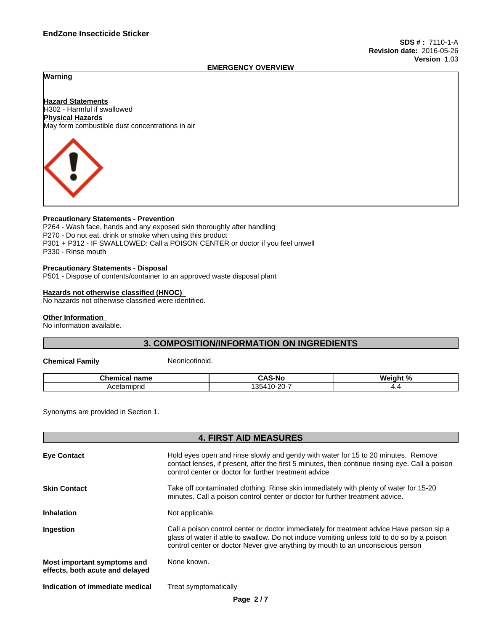#### **EMERGENCY OVERVIEW**

## **Warning**

**Hazard Statements** H302 - Harmful if swallowed **Physical Hazards** May form combustible dust concentrations in air



#### **Precautionary Statements - Prevention**

P264 - Wash face, hands and any exposed skin thoroughly after handling P270 - Do not eat, drink or smoke when using this product P301 + P312 - IF SWALLOWED: Call a POISON CENTER or doctor if you feel unwell P330 - Rinse mouth

#### **Precautionary Statements - Disposal**

P501 - Dispose of contents/container to an approved waste disposal plant

#### **Hazards not otherwise classified (HNOC)**

No hazards not otherwise classified were identified.

#### **Other Information**

No information available.

## **3. COMPOSITION/INFORMATION ON INGREDIENTS**

**Chemical Family** Neonicotinoid.

| Chen<br>$-10$<br>emical<br>name | ◠<br>n<br>--<br>. .                       | $M$ ainht % |
|---------------------------------|-------------------------------------------|-------------|
| Acetaminric<br>טווטו<br>าษ      | $\sim$ $\sim$<br>354<br>$-110$<br>ΖU<br>ື | .           |

Synonyms are provided in Section 1.

|                                                                | <b>4. FIRST AID MEASURES</b>                                                                                                                                                                                                                                              |
|----------------------------------------------------------------|---------------------------------------------------------------------------------------------------------------------------------------------------------------------------------------------------------------------------------------------------------------------------|
| <b>Eye Contact</b>                                             | Hold eyes open and rinse slowly and gently with water for 15 to 20 minutes. Remove<br>contact lenses, if present, after the first 5 minutes, then continue rinsing eye. Call a poison<br>control center or doctor for further treatment advice.                           |
| <b>Skin Contact</b>                                            | Take off contaminated clothing. Rinse skin immediately with plenty of water for 15-20<br>minutes. Call a poison control center or doctor for further treatment advice.                                                                                                    |
| <b>Inhalation</b>                                              | Not applicable.                                                                                                                                                                                                                                                           |
| Ingestion                                                      | Call a poison control center or doctor immediately for treatment advice Have person sip a<br>glass of water if able to swallow. Do not induce vomiting unless told to do so by a poison<br>control center or doctor Never give anything by mouth to an unconscious person |
| Most important symptoms and<br>effects, both acute and delayed | None known.                                                                                                                                                                                                                                                               |
| Indication of immediate medical                                | Treat symptomatically                                                                                                                                                                                                                                                     |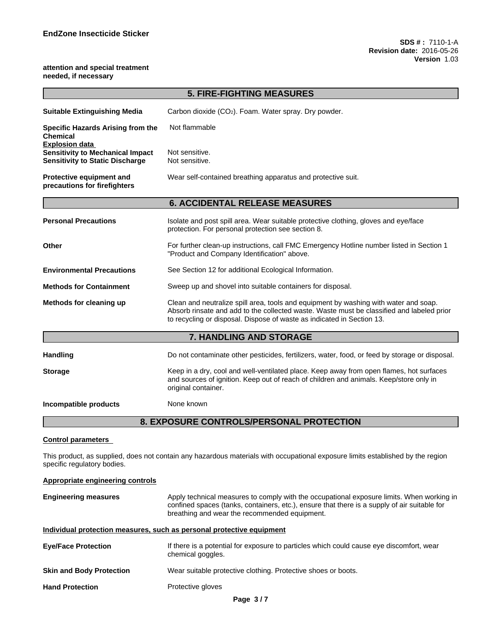#### **attention and special treatment needed, if necessary**

|                                                                                                            | <b>5. FIRE-FIGHTING MEASURES</b>                                                                                                                                                                                                                            |  |
|------------------------------------------------------------------------------------------------------------|-------------------------------------------------------------------------------------------------------------------------------------------------------------------------------------------------------------------------------------------------------------|--|
| <b>Suitable Extinguishing Media</b>                                                                        | Carbon dioxide (CO <sub>2</sub> ). Foam. Water spray. Dry powder.                                                                                                                                                                                           |  |
| <b>Specific Hazards Arising from the</b><br><b>Chemical</b>                                                | Not flammable                                                                                                                                                                                                                                               |  |
| <b>Explosion data</b><br><b>Sensitivity to Mechanical Impact</b><br><b>Sensitivity to Static Discharge</b> | Not sensitive.<br>Not sensitive.                                                                                                                                                                                                                            |  |
| Protective equipment and<br>precautions for firefighters                                                   | Wear self-contained breathing apparatus and protective suit.                                                                                                                                                                                                |  |
|                                                                                                            | <b>6. ACCIDENTAL RELEASE MEASURES</b>                                                                                                                                                                                                                       |  |
| <b>Personal Precautions</b>                                                                                | Isolate and post spill area. Wear suitable protective clothing, gloves and eye/face<br>protection. For personal protection see section 8.                                                                                                                   |  |
| <b>Other</b>                                                                                               | For further clean-up instructions, call FMC Emergency Hotline number listed in Section 1<br>"Product and Company Identification" above.                                                                                                                     |  |
| <b>Environmental Precautions</b>                                                                           | See Section 12 for additional Ecological Information.                                                                                                                                                                                                       |  |
| <b>Methods for Containment</b>                                                                             | Sweep up and shovel into suitable containers for disposal.                                                                                                                                                                                                  |  |
| Methods for cleaning up                                                                                    | Clean and neutralize spill area, tools and equipment by washing with water and soap.<br>Absorb rinsate and add to the collected waste. Waste must be classified and labeled prior<br>to recycling or disposal. Dispose of waste as indicated in Section 13. |  |
|                                                                                                            | 7. HANDLING AND STORAGE                                                                                                                                                                                                                                     |  |
| <b>Handling</b>                                                                                            | Do not contaminate other pesticides, fertilizers, water, food, or feed by storage or disposal.                                                                                                                                                              |  |
| <b>Storage</b>                                                                                             | Keep in a dry, cool and well-ventilated place. Keep away from open flames, hot surfaces<br>and sources of ignition. Keep out of reach of children and animals. Keep/store only in<br>original container.                                                    |  |
| Incompatible products                                                                                      | None known                                                                                                                                                                                                                                                  |  |
|                                                                                                            | 8. EXPOSURE CONTROLS/PERSONAL PROTECTION                                                                                                                                                                                                                    |  |
|                                                                                                            |                                                                                                                                                                                                                                                             |  |
| <b>Control parameters</b>                                                                                  |                                                                                                                                                                                                                                                             |  |

This product, as supplied, does not contain any hazardous materials with occupational exposure limits established by the region specific regulatory bodies.

#### **Appropriate engineering controls**

| <b>Engineering measures</b> | Apply technical measures to comply with the occupational exposure limits. When working in<br>confined spaces (tanks, containers, etc.), ensure that there is a supply of air suitable for |
|-----------------------------|-------------------------------------------------------------------------------------------------------------------------------------------------------------------------------------------|
|                             | breathing and wear the recommended equipment.                                                                                                                                             |

#### **Individual protection measures, such as personal protective equipment**

| <b>Eve/Face Protection</b>      | If there is a potential for exposure to particles which could cause eye discomfort, wear<br>chemical goggles. |
|---------------------------------|---------------------------------------------------------------------------------------------------------------|
| <b>Skin and Body Protection</b> | Wear suitable protective clothing. Protective shoes or boots.                                                 |
| <b>Hand Protection</b>          | Protective gloves                                                                                             |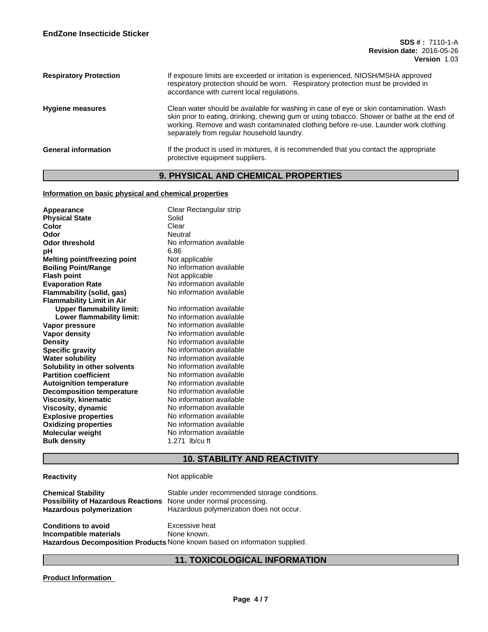| <b>Respiratory Protection</b> | If exposure limits are exceeded or irritation is experienced, NIOSH/MSHA approved<br>respiratory protection should be worn. Respiratory protection must be provided in<br>accordance with current local regulations.                                                                                                       |
|-------------------------------|----------------------------------------------------------------------------------------------------------------------------------------------------------------------------------------------------------------------------------------------------------------------------------------------------------------------------|
| <b>Hygiene measures</b>       | Clean water should be available for washing in case of eye or skin contamination. Wash<br>skin prior to eating, drinking, chewing gum or using tobacco. Shower or bathe at the end of<br>working. Remove and wash contaminated clothing before re-use. Launder work clothing<br>separately from regular household laundry. |
| <b>General information</b>    | If the product is used in mixtures, it is recommended that you contact the appropriate<br>protective equipment suppliers.                                                                                                                                                                                                  |

# **9. PHYSICAL AND CHEMICAL PROPERTIES**

#### **Information on basic physical and chemical properties**

| Appearance<br><b>Physical State</b><br>Color<br>Odor<br>Odor threshold<br>pН<br>Melting point/freezing point<br><b>Boiling Point/Range</b><br><b>Flash point</b><br><b>Evaporation Rate</b><br><b>Flammability (solid, gas)</b><br><b>Flammability Limit in Air</b><br><b>Upper flammability limit:</b><br>Lower flammability limit:<br>Vapor pressure<br><b>Vapor density</b><br><b>Density</b><br><b>Specific gravity</b><br><b>Water solubility</b><br>Solubility in other solvents<br><b>Partition coefficient</b><br><b>Autoignition temperature</b><br><b>Decomposition temperature</b><br><b>Viscosity, kinematic</b><br>Viscosity, dynamic<br><b>Explosive properties</b><br><b>Oxidizing properties</b><br><b>Molecular weight</b><br><b>Bulk density</b> | Clear Rectangular strip<br>Solid<br>Clear<br><b>Neutral</b><br>No information available<br>6.86<br>Not applicable<br>No information available<br>Not applicable<br>No information available<br>No information available<br>No information available<br>No information available<br>No information available<br>No information available<br>No information available<br>No information available<br>No information available<br>No information available<br>No information available<br>No information available<br>No information available<br>No information available<br>No information available<br>No information available<br>No information available<br>No information available<br>1.271 lb/cu ft |
|--------------------------------------------------------------------------------------------------------------------------------------------------------------------------------------------------------------------------------------------------------------------------------------------------------------------------------------------------------------------------------------------------------------------------------------------------------------------------------------------------------------------------------------------------------------------------------------------------------------------------------------------------------------------------------------------------------------------------------------------------------------------|-----------------------------------------------------------------------------------------------------------------------------------------------------------------------------------------------------------------------------------------------------------------------------------------------------------------------------------------------------------------------------------------------------------------------------------------------------------------------------------------------------------------------------------------------------------------------------------------------------------------------------------------------------------------------------------------------------------|
|--------------------------------------------------------------------------------------------------------------------------------------------------------------------------------------------------------------------------------------------------------------------------------------------------------------------------------------------------------------------------------------------------------------------------------------------------------------------------------------------------------------------------------------------------------------------------------------------------------------------------------------------------------------------------------------------------------------------------------------------------------------------|-----------------------------------------------------------------------------------------------------------------------------------------------------------------------------------------------------------------------------------------------------------------------------------------------------------------------------------------------------------------------------------------------------------------------------------------------------------------------------------------------------------------------------------------------------------------------------------------------------------------------------------------------------------------------------------------------------------|

# **10. STABILITY AND REACTIVITY**

### **Reactivity** Not applicable

**Chemical Stability** Stable under recommended storage conditions.<br>**Possibility of Hazardous Reactions** None under normal processing. **Possibility of Hazardous Reactions**<br>**Hazardous polymerization** Hazardous polymerization does not occur. **Conditions to avoid**<br> **Conditional Excessive heat**<br> **Incompatible materials**<br> **Alone known. Incompatible materials Hazardous Decomposition Products** None known based on information supplied.

## **11. TOXICOLOGICAL INFORMATION**

#### **Product Information**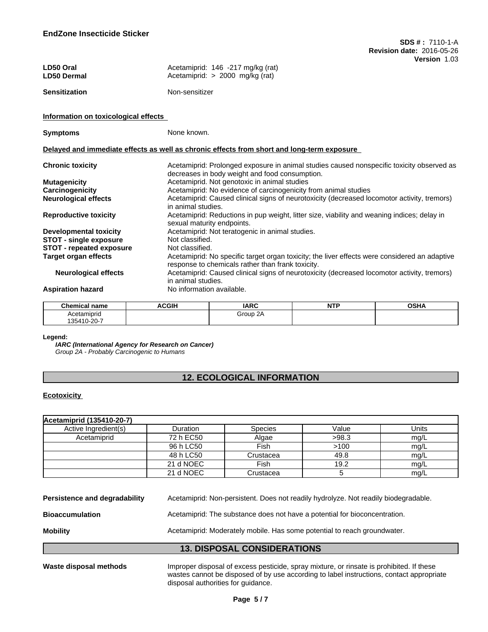| LD50 Oral<br><b>LD50 Dermal</b>      | $V$ cisivii 1.00<br>Acetamiprid: 146 -217 mg/kg (rat)<br>Acetamiprid: > 2000 mg/kg (rat)                                                           |  |
|--------------------------------------|----------------------------------------------------------------------------------------------------------------------------------------------------|--|
| <b>Sensitization</b>                 | Non-sensitizer                                                                                                                                     |  |
| Information on toxicological effects |                                                                                                                                                    |  |
| <b>Symptoms</b>                      | None known.                                                                                                                                        |  |
|                                      | Delayed and immediate effects as well as chronic effects from short and long-term exposure                                                         |  |
| <b>Chronic toxicity</b>              | Acetamiprid: Prolonged exposure in animal studies caused nonspecific toxicity observed as<br>decreases in body weight and food consumption.        |  |
| <b>Mutagenicity</b>                  | Acetamiprid. Not genotoxic in animal studies                                                                                                       |  |
| Carcinogenicity                      | Acetamiprid: No evidence of carcinogenicity from animal studies                                                                                    |  |
| <b>Neurological effects</b>          | Acetamiprid: Caused clinical signs of neurotoxicity (decreased locomotor activity, tremors)<br>in animal studies.                                  |  |
| <b>Reproductive toxicity</b>         | Acetamiprid: Reductions in pup weight, litter size, viability and weaning indices; delay in<br>sexual maturity endpoints.                          |  |
| <b>Developmental toxicity</b>        | Acetamiprid: Not teratogenic in animal studies.                                                                                                    |  |
| <b>STOT - single exposure</b>        | Not classified.                                                                                                                                    |  |
| <b>STOT - repeated exposure</b>      | Not classified.                                                                                                                                    |  |
| Target organ effects                 | Acetamiprid: No specific target organ toxicity; the liver effects were considered an adaptive<br>response to chemicals rather than frank toxicity. |  |
| <b>Neurological effects</b>          | Acetamiprid: Caused clinical signs of neurotoxicity (decreased locomotor activity, tremors)<br>in animal studies.                                  |  |

## **Aspiration hazard** No information available.

| <b>Chemical name</b> | <b>ACGIH</b> | <b>IARC</b> | .<br>. | $\sim$ un<br>שסט |
|----------------------|--------------|-------------|--------|------------------|
| Acetamiprio          |              | Group       |        |                  |
| 135410-20-           |              |             |        |                  |

#### **Legend:**

*IARC (International Agency for Research on Cancer) Group 2A - Probably Carcinogenic to Humans*

## **12. ECOLOGICAL INFORMATION**

#### **Ecotoxicity**

| Acetamiprid (135410-20-7) |                 |                |       |       |
|---------------------------|-----------------|----------------|-------|-------|
| Active Ingredient(s)      | <b>Duration</b> | <b>Species</b> | Value | Units |
| Acetamiprid               | 72 h EC50       | Algae          | >98.3 | mg/L  |
|                           | 96 h LC50       | Fish           | >100  | mg/L  |
|                           | 48 h LC50       | Crustacea      | 49.8  | mg/L  |
|                           | 21 d NOEC       | Fish           | 19.2  | mg/L  |
|                           | 21 d NOEC       | Crustacea      |       | mq/L  |

| <b>13. DISPOSAL CONSIDERATIONS</b> |                                                                                     |  |
|------------------------------------|-------------------------------------------------------------------------------------|--|
| <b>Mobility</b>                    | Acetamiprid: Moderately mobile. Has some potential to reach groundwater.            |  |
| <b>Bioaccumulation</b>             | Acetamiprid: The substance does not have a potential for bioconcentration.          |  |
| Persistence and degradability      | Acetamiprid: Non-persistent. Does not readily hydrolyze. Not readily biodegradable. |  |

Waste disposal methods **Improper disposal of excess pesticide**, spray mixture, or rinsate is prohibited. If these wastes cannot be disposed of by use according to label instructions, contact appropriate disposal authorities for guidance.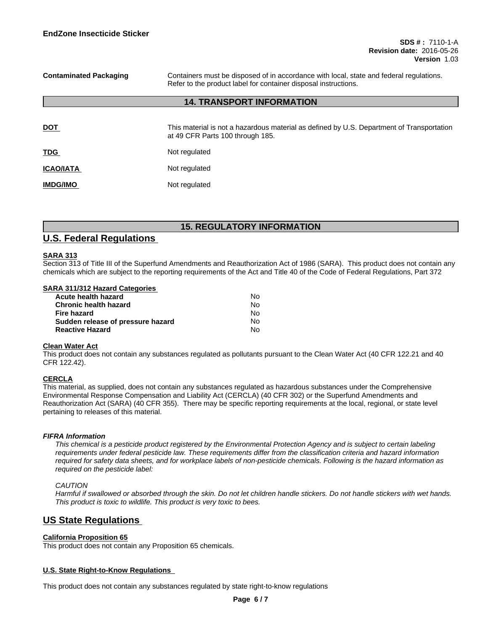**Contaminated Packaging** Containers must be disposed of in accordance with local, state and federal regulations. Refer to the product label for container disposal instructions.

### **14. TRANSPORT INFORMATION**

| <b>DOT</b>       | This material is not a hazardous material as defined by U.S. Department of Transportation<br>at 49 CFR Parts 100 through 185. |
|------------------|-------------------------------------------------------------------------------------------------------------------------------|
| <b>TDG</b>       | Not regulated                                                                                                                 |
| <b>ICAO/IATA</b> | Not regulated                                                                                                                 |
| <b>IMDG/IMO</b>  | Not regulated                                                                                                                 |

## **15. REGULATORY INFORMATION**

## **U.S. Federal Regulations**

#### **SARA 313**

Section 313 of Title III of the Superfund Amendments and Reauthorization Act of 1986 (SARA). This product does not contain any chemicals which are subject to the reporting requirements of the Act and Title 40 of the Code of Federal Regulations, Part 372

#### **SARA 311/312 Hazard Categories**

| Acute health hazard               | N٥ |  |
|-----------------------------------|----|--|
| Chronic health hazard             | N٥ |  |
| <b>Fire hazard</b>                | N٥ |  |
| Sudden release of pressure hazard | N٥ |  |
| <b>Reactive Hazard</b>            | N٥ |  |

#### **Clean Water Act**

This product does not contain any substances regulated as pollutants pursuant to the Clean Water Act (40 CFR 122.21 and 40 CFR 122.42).

#### **CERCLA**

This material, as supplied, does not contain any substances regulated as hazardous substances under the Comprehensive Environmental Response Compensation and Liability Act (CERCLA) (40 CFR 302) or the Superfund Amendments and Reauthorization Act (SARA) (40 CFR 355). There may be specific reporting requirements at the local, regional, or state level pertaining to releases of this material.

#### *FIFRA Information*

This chemical is a pesticide product registered by the Environmental Protection Agency and is subject to certain labeling requirements under federal pesticide law. These requirements differ from the classification criteria and hazard information required for safety data sheets, and for workplace labels of non-pesticide chemicals. Following is the hazard information as *required on the pesticide label:*

#### *CAUTION*

Harmful if swallowed or absorbed through the skin. Do not let children handle stickers. Do not handle stickers with wet hands. *This product is toxic to wildlife. This product is very toxic to bees.*

# **US State Regulations**

#### **California Proposition 65**

This product does not contain any Proposition 65 chemicals.

#### **U.S. State Right-to-Know Regulations**

This product does not contain any substances regulated by state right-to-know regulations